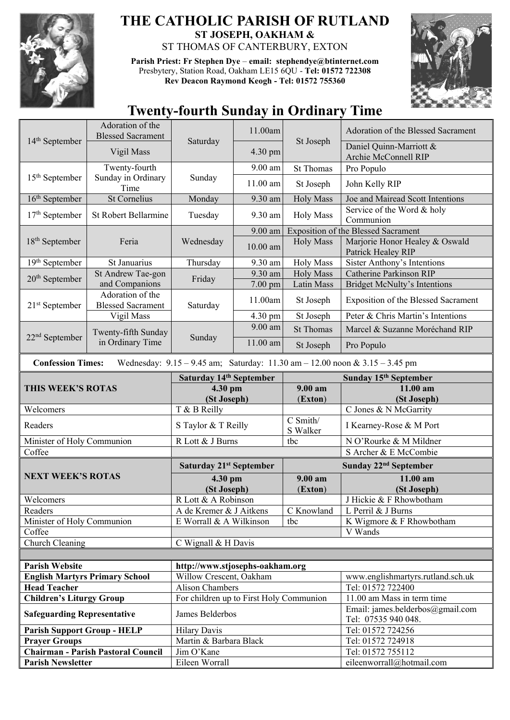

## **THE CATHOLIC PARISH OF RUTLAND ST JOSEPH, OAKHAM &**  ST THOMAS OF CANTERBURY, EXTON

**Parish Priest: Fr Stephen Dye** – **[email: stephendye@btinternet.com](mailto:email:%20%20stephendye@btinternet.com)** Presbytery, Station Road, Oakham LE15 6QU - **Tel: 01572 722308 Rev Deacon Raymond Keogh - Tel: 01572 755360**



## **Twenty-fourth Sunday in Ordinary Time**

|                                                                       | Adoration of the<br><b>Blessed Sacrament</b> | Saturday                                                   | 11.00am              | St Joseph             | Adoration of the Blessed Sacrament                                                  |
|-----------------------------------------------------------------------|----------------------------------------------|------------------------------------------------------------|----------------------|-----------------------|-------------------------------------------------------------------------------------|
| 14 <sup>th</sup> September                                            | Vigil Mass                                   |                                                            | 4.30 pm              |                       | Daniel Quinn-Marriott &<br>Archie McConnell RIP                                     |
|                                                                       | Twenty-fourth                                |                                                            | 9.00 am              | <b>St Thomas</b>      | Pro Populo                                                                          |
| 15 <sup>th</sup> September                                            | Sunday in Ordinary<br>Time                   | Sunday                                                     | 11.00 am             | St Joseph             | John Kelly RIP                                                                      |
| 16 <sup>th</sup> September                                            | St Cornelius                                 | Monday                                                     | 9.30 am              | <b>Holy Mass</b>      | Joe and Mairead Scott Intentions                                                    |
| $17th$ September                                                      | <b>St Robert Bellarmine</b>                  | Tuesday                                                    | 9.30 am              | <b>Holy Mass</b>      | Service of the Word & holy<br>Communion                                             |
|                                                                       | Feria                                        | Wednesday                                                  | 9.00 am              |                       | <b>Exposition of the Blessed Sacrament</b>                                          |
| $18th$ September                                                      |                                              |                                                            | $10.00$ am           | <b>Holy Mass</b>      | Marjorie Honor Healey & Oswald<br>Patrick Healey RIP                                |
| 19th September                                                        | St Januarius                                 | Thursday                                                   | 9.30 am              | <b>Holy Mass</b>      | <b>Sister Anthony's Intentions</b>                                                  |
| $20th$ September                                                      | St Andrew Tae-gon                            | Friday                                                     | 9.30 am              | <b>Holy Mass</b>      | <b>Catherine Parkinson RIP</b>                                                      |
|                                                                       | and Companions                               |                                                            | 7.00 pm              | Latin Mass            | <b>Bridget McNulty's Intentions</b>                                                 |
| $21st$ September                                                      | <b>Blessed Sacrament</b>                     | Adoration of the<br>Saturday                               | 11.00am              | St Joseph             | <b>Exposition of the Blessed Sacrament</b>                                          |
|                                                                       | Vigil Mass                                   |                                                            | $\overline{4.30}$ pm | St Joseph             | Peter & Chris Martin's Intentions                                                   |
|                                                                       | Twenty-fifth Sunday                          |                                                            | 9.00 am              | <b>St Thomas</b>      | Marcel & Suzanne Moréchand RIP                                                      |
| $22nd$ September                                                      | in Ordinary Time                             | Sunday                                                     | 11.00 am             | St Joseph             | Pro Populo                                                                          |
| <b>Confession Times:</b>                                              |                                              |                                                            |                      |                       | Wednesday: $9.15 - 9.45$ am; Saturday: $11.30$ am $- 12.00$ noon & $3.15 - 3.45$ pm |
|                                                                       |                                              | Saturday 14th September                                    |                      | Sunday 15th September |                                                                                     |
| THIS WEEK'S ROTAS                                                     |                                              | 4.30 pm<br>(St Joseph)                                     |                      | $9.00 a$ m<br>(Exton) | 11.00 am<br>(St Joseph)                                                             |
|                                                                       |                                              | T & B Reilly                                               |                      |                       |                                                                                     |
| Welcomers                                                             |                                              |                                                            |                      |                       | C Jones & N McGarrity                                                               |
| Readers                                                               |                                              | S Taylor & T Reilly                                        |                      | C Smith/<br>S Walker  | I Kearney-Rose & M Port                                                             |
| Minister of Holy Communion                                            |                                              | R Lott & J Burns                                           |                      | tbc                   | N O'Rourke & M Mildner                                                              |
| Coffee                                                                |                                              |                                                            |                      |                       | S Archer & E McCombie                                                               |
|                                                                       |                                              | Saturday 21 <sup>st</sup> September                        |                      |                       | Sunday 22 <sup>nd</sup> September                                                   |
| <b>NEXT WEEK'S ROTAS</b>                                              |                                              | 4.30 pm                                                    |                      | $9.00 a$ m            | 11.00 am                                                                            |
|                                                                       |                                              | (St Joseph)                                                |                      | (Exton)               | (St Joseph)                                                                         |
| Welcomers                                                             |                                              | R Lott & A Robinson                                        |                      |                       | J Hickie & F Rhowbotham                                                             |
| Readers                                                               |                                              | A de Kremer & J Aitkens                                    |                      | C Knowland            | L Perril & J Burns                                                                  |
| Minister of Holy Communion                                            |                                              | E Worrall & A Wilkinson                                    |                      | tbc                   | K Wigmore & F Rhowbotham                                                            |
| Coffee                                                                |                                              |                                                            |                      |                       | V Wands                                                                             |
| Church Cleaning                                                       |                                              | C Wignall & H Davis                                        |                      |                       |                                                                                     |
|                                                                       |                                              |                                                            |                      |                       |                                                                                     |
| <b>Parish Website</b>                                                 |                                              | http://www.stjosephs-oakham.org                            |                      |                       |                                                                                     |
|                                                                       | <b>English Martyrs Primary School</b>        | Willow Crescent, Oakham                                    |                      |                       | www.englishmartyrs.rutland.sch.uk                                                   |
| <b>Head Teacher</b>                                                   |                                              | <b>Alison Chambers</b>                                     |                      |                       | Tel: 01572 722400                                                                   |
| <b>Children's Liturgy Group</b><br><b>Safeguarding Representative</b> |                                              | For children up to First Holy Communion<br>James Belderbos |                      |                       | 11.00 am Mass in term time<br>Email: james.belderbos@gmail.com                      |
|                                                                       |                                              |                                                            |                      |                       | Tel: 07535 940 048.                                                                 |
| <b>Parish Support Group - HELP</b><br><b>Prayer Groups</b>            |                                              | <b>Hilary Davis</b><br>Martin & Barbara Black              |                      |                       | Tel: 01572 724256<br>Tel: 01572 724918                                              |
|                                                                       | <b>Chairman - Parish Pastoral Council</b>    | Jim O'Kane                                                 |                      |                       | Tel: 01572 755112                                                                   |